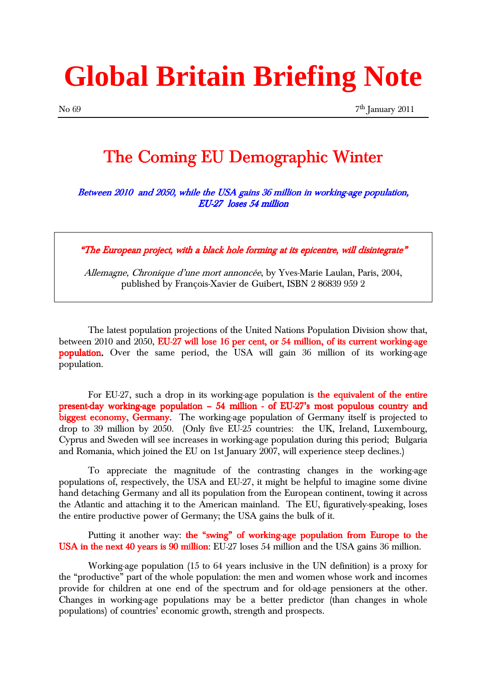## **Global Britain Briefing Note**

## The Coming EU Demographic Winter

Between 2010 and 2050, while the USA gains 36 million in working-age population,  $EU-27$  loses 54 million

"The European project, with a black hole forming at its epicentre, will disintegrate"

Allemagne, Chronique d'une mort annoncée, by Yves-Marie Laulan, Paris, 2004, published by François-Xavier de Guibert, ISBN 2 86839 959 2

 The latest population projections of the United Nations Population Division show that, between 2010 and 2050, EU-27 will lose 16 per cent, or 54 million, of its current working-age population. Over the same period, the USA will gain 36 million of its working-age population.

For EU-27, such a drop in its working-age population is the equivalent of the entire present-day working-age population  $-54$  million - of EU-27's most populous country and biggest economy, Germany. The working-age population of Germany itself is projected to drop to 39 million by 2050. (Only five EU-25 countries: the UK, Ireland, Luxembourg, Cyprus and Sweden will see increases in working-age population during this period; Bulgaria and Romania, which joined the EU on 1st January 2007, will experience steep declines.)

To appreciate the magnitude of the contrasting changes in the working-age populations of, respectively, the USA and EU-27, it might be helpful to imagine some divine hand detaching Germany and all its population from the European continent, towing it across the Atlantic and attaching it to the American mainland. The EU, figuratively-speaking, loses the entire productive power of Germany; the USA gains the bulk of it.

Putting it another way: the "swing" of working-age population from Europe to the USA in the next 40 years is 90 million: EU-27 loses 54 million and the USA gains 36 million.

 Working-age population (15 to 64 years inclusive in the UN definition) is a proxy for the "productive" part of the whole population: the men and women whose work and incomes provide for children at one end of the spectrum and for old-age pensioners at the other. Changes in working-age populations may be a better predictor (than changes in whole populations) of countries' economic growth, strength and prospects.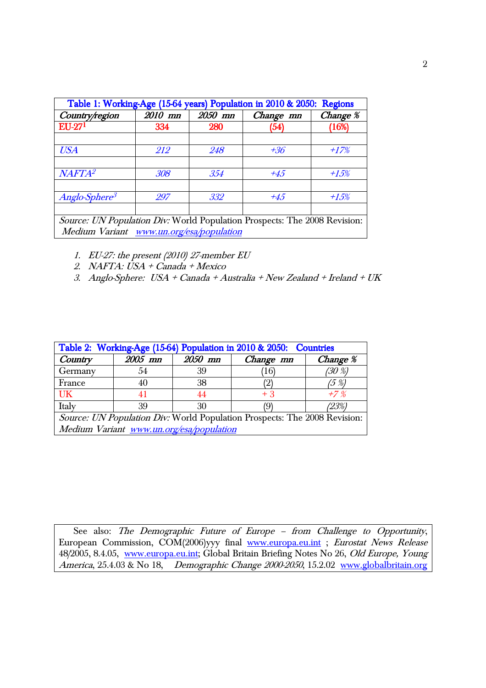| Table 1: Working-Age (15-64 years) Population in 2010 & 2050: Regions     |         |         |           |          |  |  |
|---------------------------------------------------------------------------|---------|---------|-----------|----------|--|--|
| Country/region                                                            | 2010 mn | 2050 mn | Change mn | Change % |  |  |
| $EU-271$                                                                  | 334     | 280     | (54)      | (16%)    |  |  |
|                                                                           |         |         |           |          |  |  |
| <b>USA</b>                                                                | 212     | 248     | $+36$     | $+17%$   |  |  |
|                                                                           |         |         |           |          |  |  |
| NAFTA <sup>2</sup>                                                        | 308     | 354     | $+4.5$    | $+15\%$  |  |  |
|                                                                           |         |         |           |          |  |  |
| $Anglo-Sphere3$                                                           | 297     | 332     | $+4.5$    | $+1.5%$  |  |  |
| Source: UN Population Div: World Population Prospects: The 2008 Revision: |         |         |           |          |  |  |
| Medium Variant www.un.org/esa/population                                  |         |         |           |          |  |  |

- 1. EU-27: the present (2010) 27-member EU
- 2. NAFTA: USA + Canada + Mexico
- 3. Anglo-Sphere: USA + Canada + Australia + New Zealand + Ireland + UK

| Table 2: Working-Age (15-64) Population in 2010 & 2050: Countries         |         |         |           |          |  |  |
|---------------------------------------------------------------------------|---------|---------|-----------|----------|--|--|
| Country                                                                   | 2005 mn | 2050 mn | Change mn | Change % |  |  |
| Germany                                                                   | 54      | 39      | (16)      | (30 %)   |  |  |
| France                                                                    | 40      | 38      |           | [5 %]    |  |  |
| <b>UK</b>                                                                 | 41      | 44      | $+3$      | $+7%$    |  |  |
| Italy                                                                     | 39      | 30      | (Y        | (23%)    |  |  |
| Source: UN Population Div: World Population Prospects: The 2008 Revision: |         |         |           |          |  |  |
| Medium Variant www.un.org/esa/population                                  |         |         |           |          |  |  |

See also: The Demographic Future of Europe – from Challenge to Opportunity, European Commission, COM(2006)yyy final www.europa.eu.int ; Eurostat News Release 48/2005, 8.4.05, www.europa.eu.int; Global Britain Briefing Notes No 26, Old Europe, Young America, 25.4.03 & No 18, Demographic Change 2000-2050, 15.2.02 www.globalbritain.org